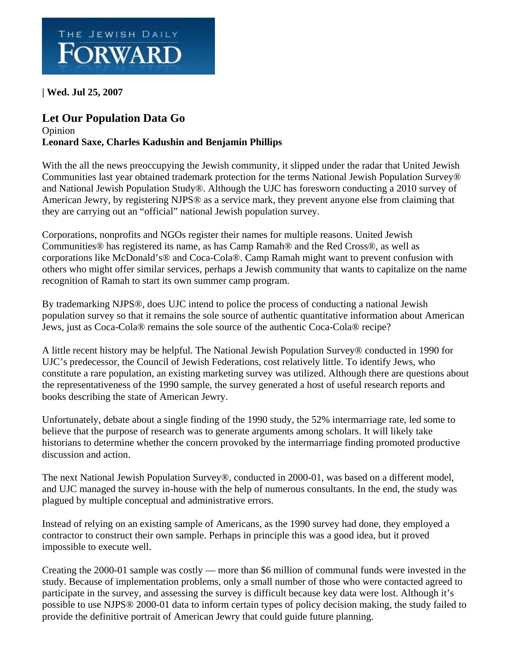

**| Wed. Jul 25, 2007** 

## **[Let Our Population Data Go](http://www.forward.com/)**

## [Opinion](http://www.forward.com/)  **Leonard Saxe, Charles Kadushin and Benjamin Phillips**

With the all the news preoccupying the Jewish community, it slipped under the radar that United Jewish Communities last year obtained trademark protection for the terms National Jewish Population Survey® and National Jewish Population Study®. Although the UJC has foresworn conducting a 2010 survey of American Jewry, by registering NJPS® as a service mark, they prevent anyone else from claiming that they are carrying out an "official" national Jewish population survey.

Corporations, nonprofits and NGOs register their names for multiple reasons. United Jewish Communities® has registered its name, as has Camp Ramah® and the Red Cross®, as well as corporations like McDonald's® and Coca-Cola®. Camp Ramah might want to prevent confusion with others who might offer similar services, perhaps a Jewish community that wants to capitalize on the name recognition of Ramah to start its own summer camp program.

By trademarking NJPS®, does UJC intend to police the process of conducting a national Jewish population survey so that it remains the sole source of authentic quantitative information about American Jews, just as Coca-Cola® remains the sole source of the authentic Coca-Cola® recipe?

A little recent history may be helpful. The National Jewish Population Survey® conducted in 1990 for UJC's predecessor, the Council of Jewish Federations, cost relatively little. To identify Jews, who constitute a rare population, an existing marketing survey was utilized. Although there are questions about the representativeness of the 1990 sample, the survey generated a host of useful research reports and books describing the state of American Jewry.

Unfortunately, debate about a single finding of the 1990 study, the 52% intermarriage rate, led some to believe that the purpose of research was to generate arguments among scholars. It will likely take historians to determine whether the concern provoked by the intermarriage finding promoted productive discussion and action.

The next National Jewish Population Survey®, conducted in 2000-01, was based on a different model, and UJC managed the survey in-house with the help of numerous consultants. In the end, the study was plagued by multiple conceptual and administrative errors.

Instead of relying on an existing sample of Americans, as the 1990 survey had done, they employed a contractor to construct their own sample. Perhaps in principle this was a good idea, but it proved impossible to execute well.

Creating the 2000-01 sample was costly — more than \$6 million of communal funds were invested in the study. Because of implementation problems, only a small number of those who were contacted agreed to participate in the survey, and assessing the survey is difficult because key data were lost. Although it's possible to use NJPS® 2000-01 data to inform certain types of policy decision making, the study failed to provide the definitive portrait of American Jewry that could guide future planning.